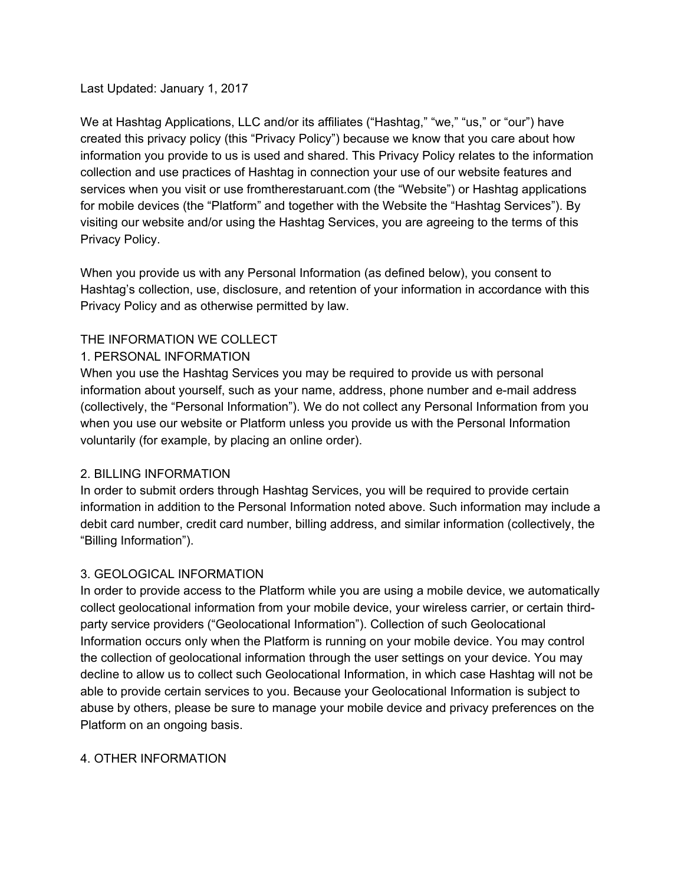## Last Updated: January 1, 2017

We at Hashtag Applications, LLC and/or its affiliates ("Hashtag," "we," "us," or "our") have created this privacy policy (this "Privacy Policy") because we know that you care about how information you provide to us is used and shared. This Privacy Policy relates to the information collection and use practices of Hashtag in connection your use of our website features and services when you visit or use fromtherestaruant.com (the "Website") or Hashtag applications for mobile devices (the "Platform" and together with the Website the "Hashtag Services"). By visiting our website and/or using the Hashtag Services, you are agreeing to the terms of this Privacy Policy.

When you provide us with any Personal Information (as defined below), you consent to Hashtag's collection, use, disclosure, and retention of your information in accordance with this Privacy Policy and as otherwise permitted by law.

# THE INFORMATION WE COLLECT

## 1. PERSONAL INFORMATION

When you use the Hashtag Services you may be required to provide us with personal information about yourself, such as your name, address, phone number and e-mail address (collectively, the "Personal Information"). We do not collect any Personal Information from you when you use our website or Platform unless you provide us with the Personal Information voluntarily (for example, by placing an online order).

### 2. BILLING INFORMATION

In order to submit orders through Hashtag Services, you will be required to provide certain information in addition to the Personal Information noted above. Such information may include a debit card number, credit card number, billing address, and similar information (collectively, the "Billing Information").

# 3. GEOLOGICAL INFORMATION

In order to provide access to the Platform while you are using a mobile device, we automatically collect geolocational information from your mobile device, your wireless carrier, or certain thirdparty service providers ("Geolocational Information"). Collection of such Geolocational Information occurs only when the Platform is running on your mobile device. You may control the collection of geolocational information through the user settings on your device. You may decline to allow us to collect such Geolocational Information, in which case Hashtag will not be able to provide certain services to you. Because your Geolocational Information is subject to abuse by others, please be sure to manage your mobile device and privacy preferences on the Platform on an ongoing basis.

### 4. OTHER INFORMATION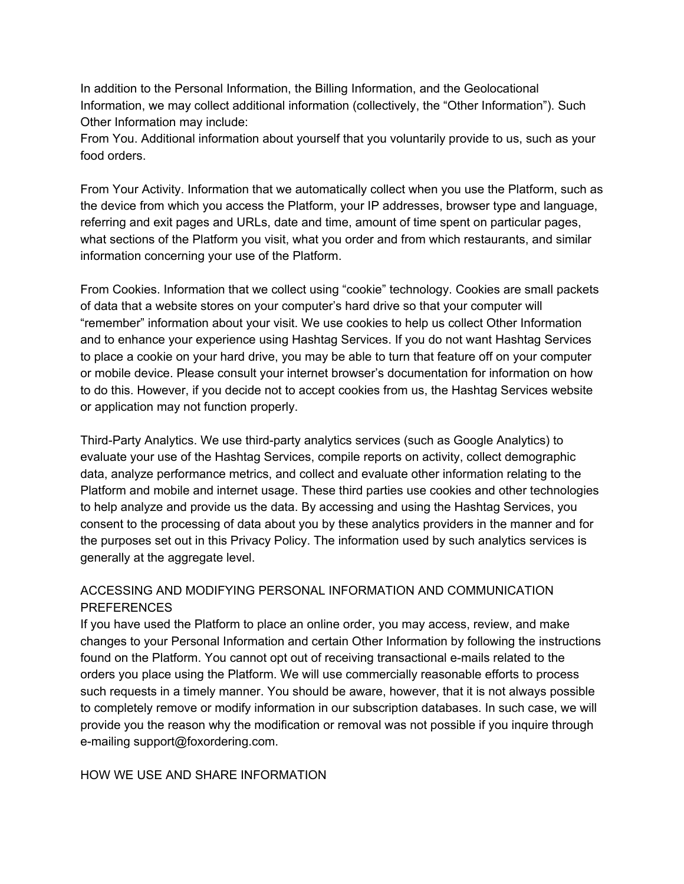In addition to the Personal Information, the Billing Information, and the Geolocational Information, we may collect additional information (collectively, the "Other Information"). Such Other Information may include:

From You. Additional information about yourself that you voluntarily provide to us, such as your food orders.

From Your Activity. Information that we automatically collect when you use the Platform, such as the device from which you access the Platform, your IP addresses, browser type and language, referring and exit pages and URLs, date and time, amount of time spent on particular pages, what sections of the Platform you visit, what you order and from which restaurants, and similar information concerning your use of the Platform.

From Cookies. Information that we collect using "cookie" technology. Cookies are small packets of data that a website stores on your computer's hard drive so that your computer will "remember" information about your visit. We use cookies to help us collect Other Information and to enhance your experience using Hashtag Services. If you do not want Hashtag Services to place a cookie on your hard drive, you may be able to turn that feature off on your computer or mobile device. Please consult your internet browser's documentation for information on how to do this. However, if you decide not to accept cookies from us, the Hashtag Services website or application may not function properly.

Third-Party Analytics. We use third-party analytics services (such as Google Analytics) to evaluate your use of the Hashtag Services, compile reports on activity, collect demographic data, analyze performance metrics, and collect and evaluate other information relating to the Platform and mobile and internet usage. These third parties use cookies and other technologies to help analyze and provide us the data. By accessing and using the Hashtag Services, you consent to the processing of data about you by these analytics providers in the manner and for the purposes set out in this Privacy Policy. The information used by such analytics services is generally at the aggregate level.

# ACCESSING AND MODIFYING PERSONAL INFORMATION AND COMMUNICATION **PREFERENCES**

If you have used the Platform to place an online order, you may access, review, and make changes to your Personal Information and certain Other Information by following the instructions found on the Platform. You cannot opt out of receiving transactional e-mails related to the orders you place using the Platform. We will use commercially reasonable efforts to process such requests in a timely manner. You should be aware, however, that it is not always possible to completely remove or modify information in our subscription databases. In such case, we will provide you the reason why the modification or removal was not possible if you inquire through e-mailing support@foxordering.com.

HOW WE USE AND SHARE INFORMATION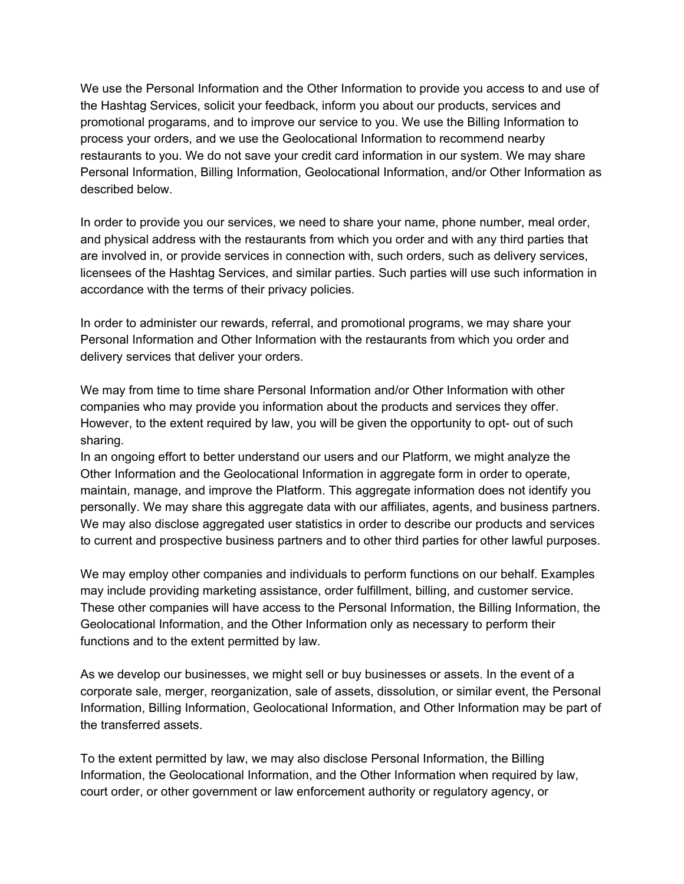We use the Personal Information and the Other Information to provide you access to and use of the Hashtag Services, solicit your feedback, inform you about our products, services and promotional progarams, and to improve our service to you. We use the Billing Information to process your orders, and we use the Geolocational Information to recommend nearby restaurants to you. We do not save your credit card information in our system. We may share Personal Information, Billing Information, Geolocational Information, and/or Other Information as described below.

In order to provide you our services, we need to share your name, phone number, meal order, and physical address with the restaurants from which you order and with any third parties that are involved in, or provide services in connection with, such orders, such as delivery services, licensees of the Hashtag Services, and similar parties. Such parties will use such information in accordance with the terms of their privacy policies.

In order to administer our rewards, referral, and promotional programs, we may share your Personal Information and Other Information with the restaurants from which you order and delivery services that deliver your orders.

We may from time to time share Personal Information and/or Other Information with other companies who may provide you information about the products and services they offer. However, to the extent required by law, you will be given the opportunity to opt- out of such sharing.

In an ongoing effort to better understand our users and our Platform, we might analyze the Other Information and the Geolocational Information in aggregate form in order to operate, maintain, manage, and improve the Platform. This aggregate information does not identify you personally. We may share this aggregate data with our affiliates, agents, and business partners. We may also disclose aggregated user statistics in order to describe our products and services to current and prospective business partners and to other third parties for other lawful purposes.

We may employ other companies and individuals to perform functions on our behalf. Examples may include providing marketing assistance, order fulfillment, billing, and customer service. These other companies will have access to the Personal Information, the Billing Information, the Geolocational Information, and the Other Information only as necessary to perform their functions and to the extent permitted by law.

As we develop our businesses, we might sell or buy businesses or assets. In the event of a corporate sale, merger, reorganization, sale of assets, dissolution, or similar event, the Personal Information, Billing Information, Geolocational Information, and Other Information may be part of the transferred assets.

To the extent permitted by law, we may also disclose Personal Information, the Billing Information, the Geolocational Information, and the Other Information when required by law, court order, or other government or law enforcement authority or regulatory agency, or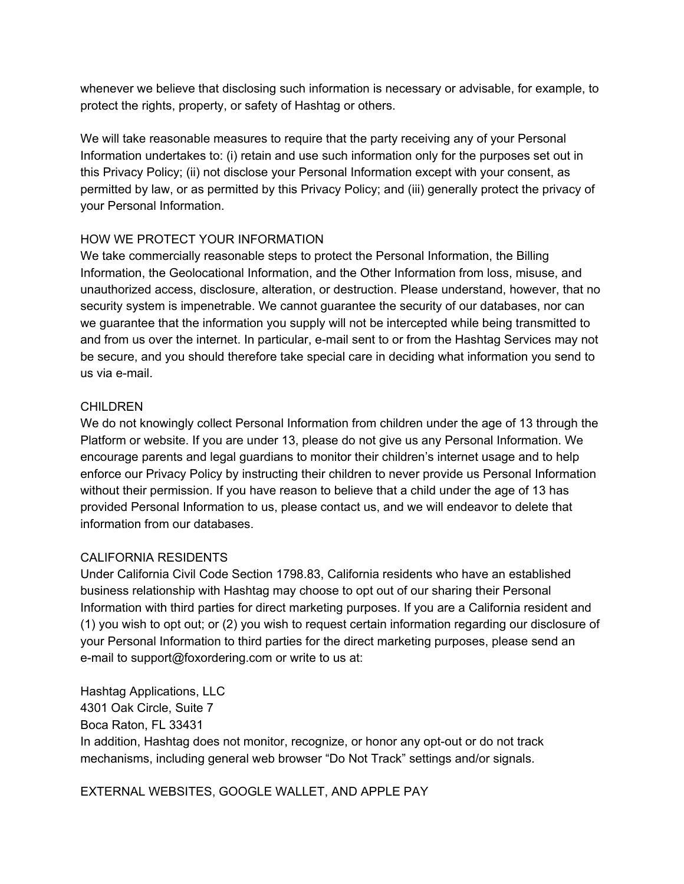whenever we believe that disclosing such information is necessary or advisable, for example, to protect the rights, property, or safety of Hashtag or others.

We will take reasonable measures to require that the party receiving any of your Personal Information undertakes to: (i) retain and use such information only for the purposes set out in this Privacy Policy; (ii) not disclose your Personal Information except with your consent, as permitted by law, or as permitted by this Privacy Policy; and (iii) generally protect the privacy of your Personal Information.

# HOW WE PROTECT YOUR INFORMATION

We take commercially reasonable steps to protect the Personal Information, the Billing Information, the Geolocational Information, and the Other Information from loss, misuse, and unauthorized access, disclosure, alteration, or destruction. Please understand, however, that no security system is impenetrable. We cannot guarantee the security of our databases, nor can we guarantee that the information you supply will not be intercepted while being transmitted to and from us over the internet. In particular, e-mail sent to or from the Hashtag Services may not be secure, and you should therefore take special care in deciding what information you send to us via e-mail.

### **CHILDREN**

We do not knowingly collect Personal Information from children under the age of 13 through the Platform or website. If you are under 13, please do not give us any Personal Information. We encourage parents and legal guardians to monitor their children's internet usage and to help enforce our Privacy Policy by instructing their children to never provide us Personal Information without their permission. If you have reason to believe that a child under the age of 13 has provided Personal Information to us, please contact us, and we will endeavor to delete that information from our databases.

### CALIFORNIA RESIDENTS

Under California Civil Code Section 1798.83, California residents who have an established business relationship with Hashtag may choose to opt out of our sharing their Personal Information with third parties for direct marketing purposes. If you are a California resident and (1) you wish to opt out; or (2) you wish to request certain information regarding our disclosure of your Personal Information to third parties for the direct marketing purposes, please send an e-mail to support@foxordering.com or write to us at:

Hashtag Applications, LLC 4301 Oak Circle, Suite 7 Boca Raton, FL 33431 In addition, Hashtag does not monitor, recognize, or honor any opt-out or do not track mechanisms, including general web browser "Do Not Track" settings and/or signals.

EXTERNAL WEBSITES, GOOGLE WALLET, AND APPLE PAY